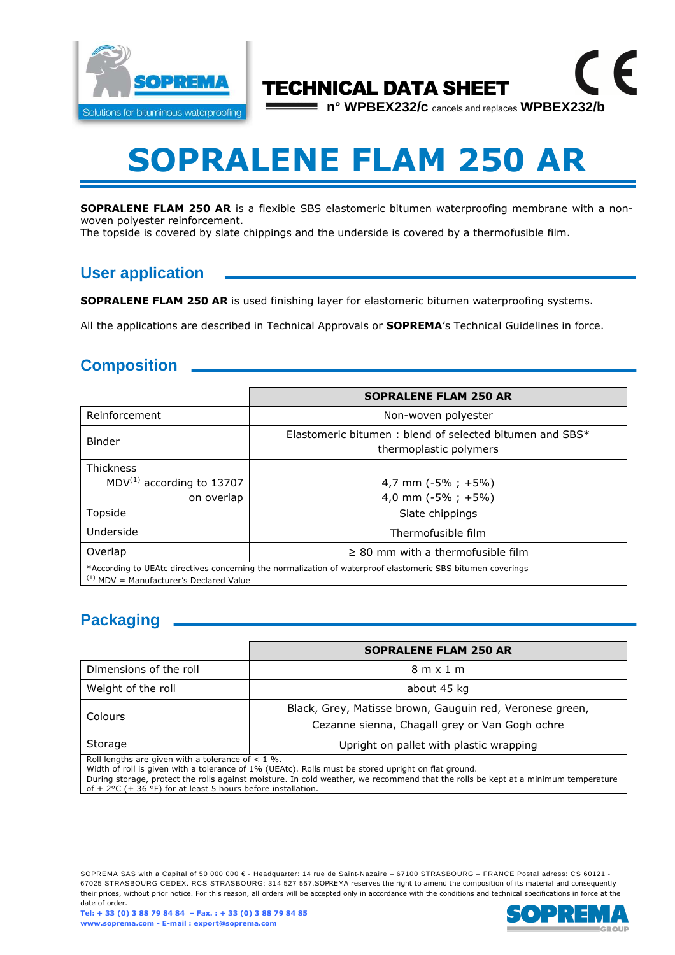

# **SOPRALENE FLAM 250 AR**

TECHNICAL DATA SHEET

**n° WPBEX232/c** cancels and replaces **WPBEX232/b**

 $\epsilon$ 

**SOPRALENE FLAM 250 AR** is a flexible SBS elastomeric bitumen waterproofing membrane with a nonwoven polyester reinforcement.

The topside is covered by slate chippings and the underside is covered by a thermofusible film.

## **User application**

**SOPRALENE FLAM 250 AR** is used finishing layer for elastomeric bitumen waterproofing systems.

All the applications are described in Technical Approvals or **SOPREMA**'s Technical Guidelines in force.

#### **Composition**

|                                                                                                                                                          | <b>SOPRALENE FLAM 250 AR</b>                                                      |  |
|----------------------------------------------------------------------------------------------------------------------------------------------------------|-----------------------------------------------------------------------------------|--|
| Reinforcement                                                                                                                                            | Non-woven polyester                                                               |  |
| <b>Binder</b>                                                                                                                                            | Elastomeric bitumen: blend of selected bitumen and SBS*<br>thermoplastic polymers |  |
| <b>Thickness</b><br>$MDV^{(1)}$ according to 13707                                                                                                       | 4,7 mm ( $-5\%$ ; +5%)                                                            |  |
| on overlap                                                                                                                                               | 4,0 mm $(-5\% ; +5\%)$                                                            |  |
| Topside                                                                                                                                                  | Slate chippings                                                                   |  |
| Underside                                                                                                                                                | Thermofusible film                                                                |  |
| Overlap                                                                                                                                                  | $\geq$ 80 mm with a thermofusible film                                            |  |
| *According to UEAtc directives concerning the normalization of waterproof elastomeric SBS bitumen coverings<br>$(1)$ MDV = Manufacturer's Declared Value |                                                                                   |  |

## **Packaging**

|                                                     | <b>SOPRALENE FLAM 250 AR</b>                                                                                                                                                                                                                                                                                                                                                                                                                                |  |
|-----------------------------------------------------|-------------------------------------------------------------------------------------------------------------------------------------------------------------------------------------------------------------------------------------------------------------------------------------------------------------------------------------------------------------------------------------------------------------------------------------------------------------|--|
| Dimensions of the roll                              | $8m \times 1m$                                                                                                                                                                                                                                                                                                                                                                                                                                              |  |
| Weight of the roll                                  | about 45 kg                                                                                                                                                                                                                                                                                                                                                                                                                                                 |  |
| Colours                                             | Black, Grey, Matisse brown, Gauguin red, Veronese green,<br>Cezanne sienna, Chagall grey or Van Gogh ochre                                                                                                                                                                                                                                                                                                                                                  |  |
| Storage                                             | Upright on pallet with plastic wrapping                                                                                                                                                                                                                                                                                                                                                                                                                     |  |
| Roll lengths are given with a tolerance of $< 1$ %. | $\mathcal{L}(\mathcal{L}(\mathcal{L}(\mathcal{L}(\mathcal{L}(\mathcal{L}(\mathcal{L}(\mathcal{L}(\mathcal{L}(\mathcal{L}(\mathcal{L}(\mathcal{L}(\mathcal{L}(\mathcal{L}(\mathcal{L}(\mathcal{L}(\mathcal{L}(\mathcal{L}(\mathcal{L}(\mathcal{L}(\mathcal{L}(\mathcal{L}(\mathcal{L}(\mathcal{L}(\mathcal{L}(\mathcal{L}(\mathcal{L}(\mathcal{L}(\mathcal{L}(\mathcal{L}(\mathcal{L}(\mathcal{L}(\mathcal{L}(\mathcal{L}(\mathcal{L}(\mathcal{L}(\mathcal{$ |  |

Width of roll is given with a tolerance of 1% (UEAtc). Rolls must be stored upright on flat ground.

During storage, protect the rolls against moisture. In cold weather, we recommend that the rolls be kept at a minimum temperature of +  $2^{\circ}$ C (+  $36^{\circ}$ F) for at least 5 hours before installation.

SOPREMA SAS with a Capital of 50 000 000 € - Headquarter: 14 rue de Saint-Nazaire – 67100 STRASBOURG – FRANCE Postal adress: CS 60121 -67025 STRASBOURG CEDEX. RCS STRASBOURG: 314 527 557.SOPREMA reserves the right to amend the composition of its material and consequently their prices, without prior notice. For this reason, all orders will be accepted only in accordance with the conditions and technical specifications in force at the date of order.

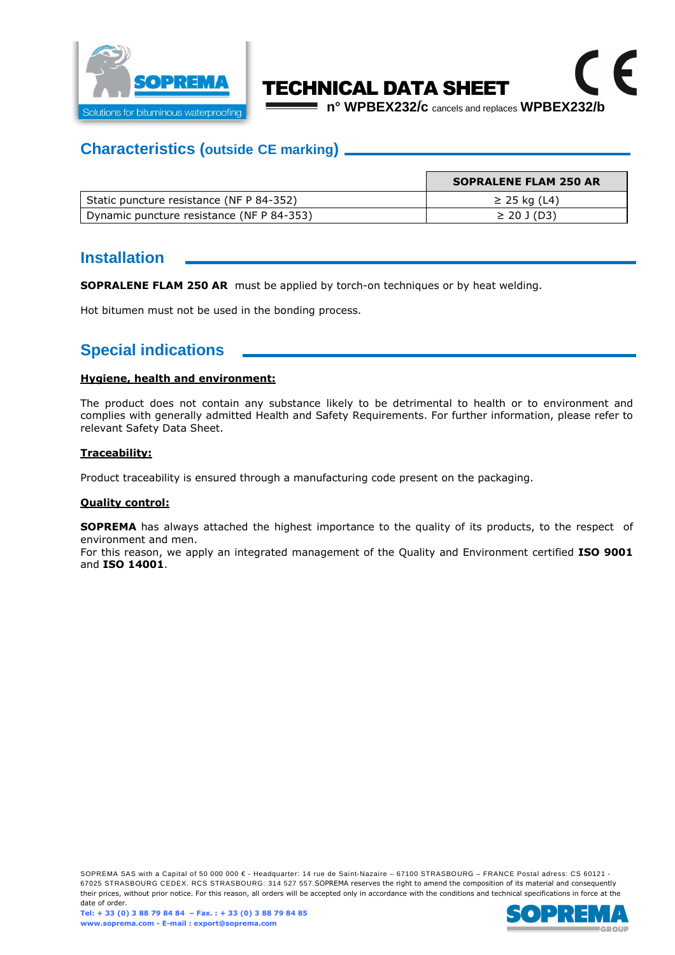

# TECHNICAL DATA SHEET

**n° WPBEX232/c** cancels and replaces **WPBEX232/b**

 $\epsilon$ 

#### **Characteristics (outside CE marking)**

|                                           | <b>SOPRALENE FLAM 250 AR</b> |
|-------------------------------------------|------------------------------|
| Static puncture resistance (NF P 84-352)  | $\geq$ 25 kg (L4)            |
| Dynamic puncture resistance (NF P 84-353) | $\geq$ 20 J (D3)             |

#### **Installation**

**SOPRALENE FLAM 250 AR** must be applied by torch-on techniques or by heat welding.

Hot bitumen must not be used in the bonding process.

## **Special indications**

#### **Hygiene, health and environment:**

The product does not contain any substance likely to be detrimental to health or to environment and complies with generally admitted Health and Safety Requirements. For further information, please refer to relevant Safety Data Sheet.

#### **Traceability:**

Product traceability is ensured through a manufacturing code present on the packaging.

#### **Quality control:**

**SOPREMA** has always attached the highest importance to the quality of its products, to the respect of environment and men.

For this reason, we apply an integrated management of the Quality and Environment certified **ISO 9001**  and **ISO 14001**.

SOPREMA SAS with a Capital of 50 000 000 € - Headquarter: 14 rue de Saint-Nazaire – 67100 STRASBOURG – FRANCE Postal adress: CS 60121 -67025 STRASBOURG CEDEX. RCS STRASBOURG: 314 527 557.SOPREMA reserves the right to amend the composition of its material and consequently their prices, without prior notice. For this reason, all orders will be accepted only in accordance with the conditions and technical specifications in force at the date of order.